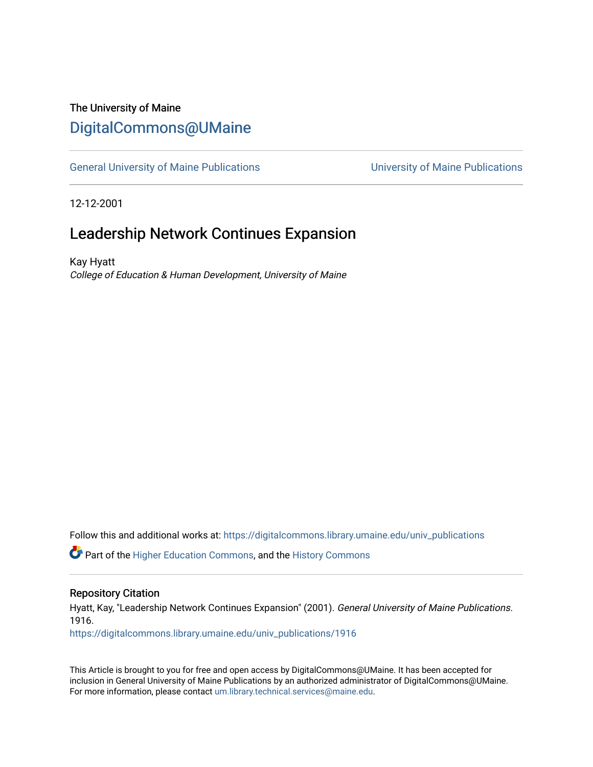### The University of Maine [DigitalCommons@UMaine](https://digitalcommons.library.umaine.edu/)

[General University of Maine Publications](https://digitalcommons.library.umaine.edu/univ_publications) [University of Maine Publications](https://digitalcommons.library.umaine.edu/umaine_publications) 

12-12-2001

## Leadership Network Continues Expansion

Kay Hyatt College of Education & Human Development, University of Maine

Follow this and additional works at: [https://digitalcommons.library.umaine.edu/univ\\_publications](https://digitalcommons.library.umaine.edu/univ_publications?utm_source=digitalcommons.library.umaine.edu%2Funiv_publications%2F1916&utm_medium=PDF&utm_campaign=PDFCoverPages) 

Part of the [Higher Education Commons,](http://network.bepress.com/hgg/discipline/1245?utm_source=digitalcommons.library.umaine.edu%2Funiv_publications%2F1916&utm_medium=PDF&utm_campaign=PDFCoverPages) and the [History Commons](http://network.bepress.com/hgg/discipline/489?utm_source=digitalcommons.library.umaine.edu%2Funiv_publications%2F1916&utm_medium=PDF&utm_campaign=PDFCoverPages)

#### Repository Citation

Hyatt, Kay, "Leadership Network Continues Expansion" (2001). General University of Maine Publications. 1916.

[https://digitalcommons.library.umaine.edu/univ\\_publications/1916](https://digitalcommons.library.umaine.edu/univ_publications/1916?utm_source=digitalcommons.library.umaine.edu%2Funiv_publications%2F1916&utm_medium=PDF&utm_campaign=PDFCoverPages)

This Article is brought to you for free and open access by DigitalCommons@UMaine. It has been accepted for inclusion in General University of Maine Publications by an authorized administrator of DigitalCommons@UMaine. For more information, please contact [um.library.technical.services@maine.edu](mailto:um.library.technical.services@maine.edu).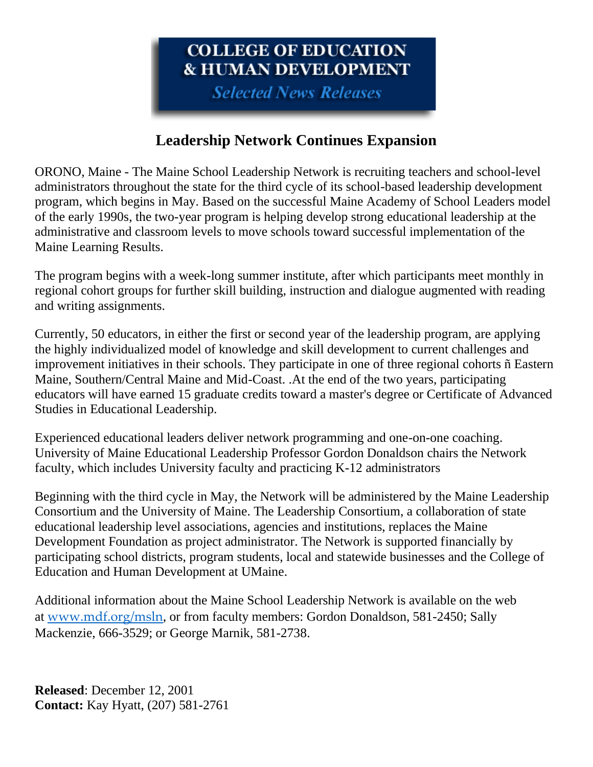# **COLLEGE OF EDUCATION & HUMAN DEVELOPMENT**

**Selected News Releases** 

## **Leadership Network Continues Expansion**

ORONO, Maine - The Maine School Leadership Network is recruiting teachers and school-level administrators throughout the state for the third cycle of its school-based leadership development program, which begins in May. Based on the successful Maine Academy of School Leaders model of the early 1990s, the two-year program is helping develop strong educational leadership at the administrative and classroom levels to move schools toward successful implementation of the Maine Learning Results.

The program begins with a week-long summer institute, after which participants meet monthly in regional cohort groups for further skill building, instruction and dialogue augmented with reading and writing assignments.

Currently, 50 educators, in either the first or second year of the leadership program, are applying the highly individualized model of knowledge and skill development to current challenges and improvement initiatives in their schools. They participate in one of three regional cohorts ñ Eastern Maine, Southern/Central Maine and Mid-Coast. .At the end of the two years, participating educators will have earned 15 graduate credits toward a master's degree or Certificate of Advanced Studies in Educational Leadership.

Experienced educational leaders deliver network programming and one-on-one coaching. University of Maine Educational Leadership Professor Gordon Donaldson chairs the Network faculty, which includes University faculty and practicing K-12 administrators

Beginning with the third cycle in May, the Network will be administered by the Maine Leadership Consortium and the University of Maine. The Leadership Consortium, a collaboration of state educational leadership level associations, agencies and institutions, replaces the Maine Development Foundation as project administrator. The Network is supported financially by participating school districts, program students, local and statewide businesses and the College of Education and Human Development at UMaine.

Additional information about the Maine School Leadership Network is available on the web at [www.mdf.org/msln](https://web.archive.org/web/20020321135308/http:/www.mdf.org/msln), or from faculty members: Gordon Donaldson, 581-2450; Sally Mackenzie, 666-3529; or George Marnik, 581-2738.

**Released**: December 12, 2001 **Contact:** Kay Hyatt, (207) 581-2761